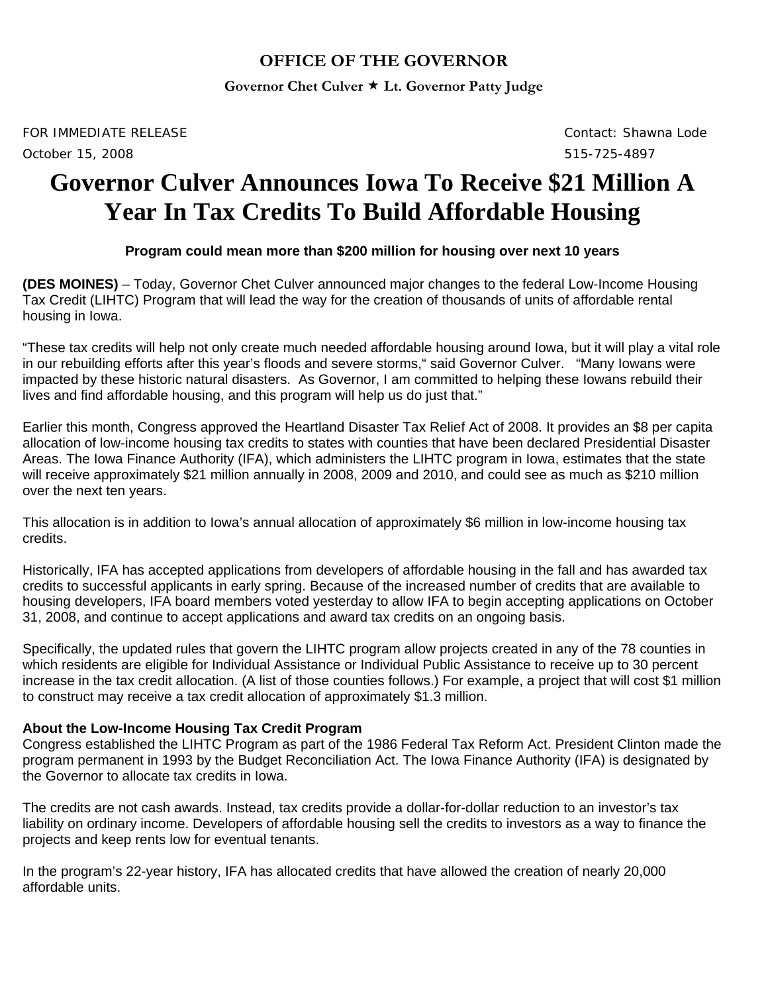## **OFFICE OF THE GOVERNOR**

**Governor Chet Culver Lt. Governor Patty Judge** 

*FOR IMMEDIATE RELEASE Contact: Shawna Lode October 15, 2008 515-725-4897* 

# **Governor Culver Announces Iowa To Receive \$21 Million A Year In Tax Credits To Build Affordable Housing**

### **Program could mean more than \$200 million for housing over next 10 years**

**(DES MOINES)** – Today, Governor Chet Culver announced major changes to the federal Low-Income Housing Tax Credit (LIHTC) Program that will lead the way for the creation of thousands of units of affordable rental housing in Iowa.

"These tax credits will help not only create much needed affordable housing around Iowa, but it will play a vital role in our rebuilding efforts after this year's floods and severe storms," said Governor Culver. "Many Iowans were impacted by these historic natural disasters. As Governor, I am committed to helping these Iowans rebuild their lives and find affordable housing, and this program will help us do just that."

Earlier this month, Congress approved the Heartland Disaster Tax Relief Act of 2008. It provides an \$8 per capita allocation of low-income housing tax credits to states with counties that have been declared Presidential Disaster Areas. The Iowa Finance Authority (IFA), which administers the LIHTC program in Iowa, estimates that the state will receive approximately \$21 million annually in 2008, 2009 and 2010, and could see as much as \$210 million over the next ten years.

This allocation is in addition to Iowa's annual allocation of approximately \$6 million in low-income housing tax credits.

Historically, IFA has accepted applications from developers of affordable housing in the fall and has awarded tax credits to successful applicants in early spring. Because of the increased number of credits that are available to housing developers, IFA board members voted yesterday to allow IFA to begin accepting applications on October 31, 2008, and continue to accept applications and award tax credits on an ongoing basis.

Specifically, the updated rules that govern the LIHTC program allow projects created in any of the 78 counties in which residents are eligible for Individual Assistance or Individual Public Assistance to receive up to 30 percent increase in the tax credit allocation. (A list of those counties follows.) For example, a project that will cost \$1 million to construct may receive a tax credit allocation of approximately \$1.3 million.

#### **About the Low-Income Housing Tax Credit Program**

Congress established the LIHTC Program as part of the 1986 Federal Tax Reform Act. President Clinton made the program permanent in 1993 by the Budget Reconciliation Act. The Iowa Finance Authority (IFA) is designated by the Governor to allocate tax credits in Iowa.

The credits are not cash awards. Instead, tax credits provide a dollar-for-dollar reduction to an investor's tax liability on ordinary income. Developers of affordable housing sell the credits to investors as a way to finance the projects and keep rents low for eventual tenants.

In the program's 22-year history, IFA has allocated credits that have allowed the creation of nearly 20,000 affordable units.